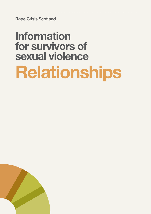Rape Crisis Scotland

# Information for survivors of sexual violence Relationships

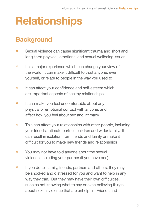# **Relationships**

## **Background**

- **»** Sexual violence can cause significant trauma and short and long-term physical, emotional and sexual wellbeing issues
- » It is a major experience which can change your view of the world. It can make it difficult to trust anyone, even yourself, or relate to people in the way you used to
- $\mathcal{V}$  It can affect your confidence and self-esteem which are important aspects of healthy relationships
- » It can make you feel uncomfortable about any physical or emotional contact with anyone, and affect how you feel about sex and intimacy
- » This can affect your relationships with other people, including your friends, intimate partner, children and wider family. It can result in isolation from friends and family or make it difficult for you to make new friends and relationships
- » You may not have told anyone about the sexual violence, including your partner (if you have one)
- » If you do tell family, friends, partners and others, they may be shocked and distressed for you and want to help in any way they can. But they may have their own difficulties, such as not knowing what to say or even believing things about sexual violence that are unhelpful. Friends and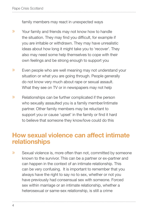family members may react in unexpected ways

- » Your family and friends may not know how to handle the situation. They may find you difficult, for example if you are irritable or withdrawn. They may have unrealistic ideas about how long it might take you to 'recover'. They also may need some help themselves to cope with their own feelings and be strong enough to support you
- » Even people who are well meaning may not understand your situation or what you are going through. People generally do not know very much about rape or sexual assault. What they see on TV or in newspapers may not help
- » Relationships can be further complicated if the person who sexually assaulted you is a family member/intimate partner. Other family members may be reluctant to support you or cause 'upset' in the family or find it hard to believe that someone they know/love could do this

### How sexual violence can affect intimate relationships

» Sexual violence is, more often than not, committed by someone known to the survivor. This can be a partner or ex-partner and can happen in the context of an intimate relationship. This can be very confusing. It is important to remember that you always have the right to say no to sex, whether or not you have previously had consensual sex with someone. Forced sex within marriage or an intimate relationship, whether a heterosexual or same-sex relationship, is still a crime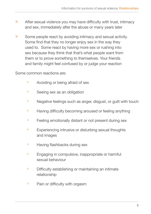- $\lambda$  After sexual violence you may have difficulty with trust, intimacy and sex, immediately after the abuse or many years later
- » Some people react by avoiding intimacy and sexual activity. Some find that they no longer enjoy sex in the way they used to. Some react by having more sex or rushing into sex because they think that that's what people want from them or to prove something to themselves. Your friends and family might feel confused by or judge your reaction

Some common reactions are:

- › Avoiding or being afraid of sex
- › Seeing sex as an obligation
- › Negative feelings such as anger, disgust, or guilt with touch
- > Having difficulty becoming aroused or feeling anything
- › Feeling emotionally distant or not present during sex
- › Experiencing intrusive or disturbing sexual thoughts and images
- > Having flashbacks during sex
- › Engaging in compulsive, inappropriate or harmful sexual behaviour
- **>** Difficulty establishing or maintaining an intimate relationship
- > Pain or difficulty with orgasm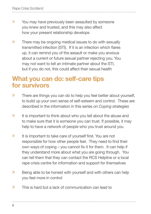- » You may have previously been assaulted by someone you knew and trusted, and this may also affect how your present relationship develops
- » There may be ongoing medical issues to do with sexually transmitted infection (STI). If it is an infection which flares up, it can remind you of the assault or make you anxious about a current or future sexual partner rejecting you. You may not want to tell an intimate partner about the STI, but if you do not, this could affect their sexual health

### What you can do: self-care tips for survivors

- » There are things you can do to help you feel better about yourself, to build up your own sense of self-esteem and control. These are described in the information in this series on Coping strategies
- » It is important to think about who you tell about the abuse and to make sure that it is someone you can trust. If possible, it may help to have a network of people who you trust around you
- $\mathcal{V}$  It is important to take care of yourself first. You are not responsible for how other people feel. They need to find their own ways of coping  $-$  you cannot fix it for them. It can help if they understand more about what you are going through. You can tell them that they can contact the RCS Helpline or a local rape crisis centre for information and support for themselves
- » Being able to be honest with yourself and with others can help you feel more in control
- » This is hard but a lack of communication can lead to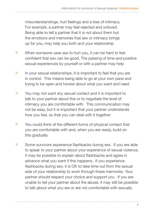misunderstandings, hurt feelings and a loss of intimacy. For example, a partner may feel rejected and unloved. Being able to tell a partner that it is not about them but the emotions and memories that sex or intimacy brings up for you, may help you both and your relationship

- » When someone uses sex to hurt you, it can be hard to feel confident that sex can be good. The passing of time and positive sexual experiences by yourself or with a partner may help
- » In your sexual relationships, it is important to feel that you are in control. This means being able to go at your own pace and trying to be open and honest about what you want and need
- » You may not want any sexual contact and it is important to talk to your partner about this or to negotiate the level of intimacy you are comfortable with. This communication may not be easy, but it is important that your partner understands how you feel, so that you can deal with it together
- » You could think of the different forms of physical contact that you are comfortable with and, when you are ready, build on this gradually
- $\gg$  Some survivors experience flashbacks during sex. If you are able to speak to your partner about your experience of sexual violence, it may be possible to explain about flashbacks and agree in advance what you want if this happens. If you experience flashbacks during sex, it is OK to take time out from the sexual side of your relationship to work through these memories. Your partner should respect your choice and support you. If you are unable to tell your partner about the abuse, it may still be possible to talk about what you are or are not comfortable with sexually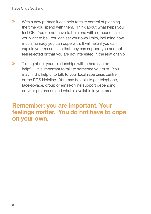- » With a new partner, it can help to take control of planning the time you spend with them. Think about what helps you feel OK. You do not have to be alone with someone unless you want to be. You can set your own limits, including how much intimacy you can cope with. It will help if you can explain your reasons so that they can support you and not feel rejected or that you are not interested in the relationship
- » Talking about your relationships with others can be helpful. It is important to talk to someone you trust. You may find it helpful to talk to your local rape crisis centre or the RCS Helpline. You may be able to get telephone, face-to-face, group or email/online support depending on your preference and what is available in your area

### Remember: you are important. Your feelings matter. You do not have to cope on your own.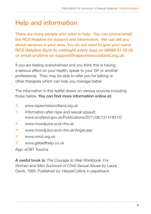# Help and information

There are many people who want to help. You can phone/email the RCS Helpline for support and information. We can tell you about services in your area. You do not need to give your name. RCS Helpline (6pm to midnight every day) on 08088 01 03 02 or email anytime on support@rapecrisisscotland.org.uk

If you are feeling overwhelmed and you think this is having a serious effect on your health, speak to your GP or another professional. They may be able to refer you for talking or other therapies which can help you manage better.

The information in this leaflet draws on various sources including those below. You can find more information online at:

- » www.rapecrisisscotland.org.uk
- » Information after rape and sexual assault: www.scotland.gov.uk/Publications/2011/06/13141931/0
- » www.moodjuice.scot.nhs.uk
- » www.moodjuice.scot.nhs.uk/Anger.asp
- » www.mind.org.uk
- » www.getselfhelp.co.uk

App: eCBT Trauma

A useful book is: The Courage to Heal Workbook: For Women and Men Survivors of Child Sexual Abuse by Laura Davis, 1990. Published by: HarperCollins in paperback.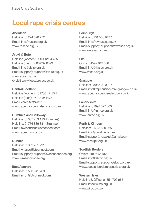## Local rape crisis centres

#### Aberdeen

Helpline: 01224 620 772 Email: info@rasane.org.uk www.rasane.org.uk

#### Argyll & Bute

Helpline (women): 0800 121 46 85 Helpline (men): 0800 032 0399 Email: info@ab-rc.org.uk Email (support): support@ab-rc.org.uk www.ab-rc.org.uk or visit www.tessaproject.co.uk

Central Scotland Helpline (women): 01786 471771 Helpline (men): 07733 964478 Email: csrcc@ic24.net www.rapecrisiscentralscotland.co.uk

#### Dumfries and Galloway

Helpline: 01387 253 113 (Dumfries) Helpline: 01776 889 331 (Stranraer) Email: swrcandsac@btconnect.com www.rape-crisis.co.uk

#### Dundee

Helpline: 01382 201 291 Email: wrasac@btconnect.com Email (support): support@wrasacdundee.org www.wrasacdundee.org

East Ayrshire Helpline: 01563 541 769 Email: rcrc1@btconnect.com

#### **Edinburgh**

Helpline: 0131 556 9437 Email: info@ewrasac.org.uk Email (support): support@ewrasac.org.uk www.ewrasac.org.uk

#### Fife

Office: 01592 642 336 Email: info@frasac.org.uk www.frasac.org.uk

#### Glasgow

Helpline: 08088 00 00 14 Email: info@rapecrisiscentre-glasgow.co.uk www.rapecrisiscentre-glasgow.co.uk

#### **Lanarkshire**

Helpline: 01698 527 003 Email: info@lanrcc.org.uk www.lanrcc.org.uk

#### Perth & Kinross Helpline: 01738 630 965

Email: info@rasakpk.org.uk Email (support): rasakpk@gmail.com www.rasakpk.org.uk

#### Scottish Borders Office: 01896 661070 Email: info@sbrcc.org.uk Email (support): support@sbrcc.org.uk www.scottishbordersrapecrisis.org.uk

Western Isles Helpline & Office: 01851 709 965 Email: info@wircc.org.uk www.wircc.org.uk